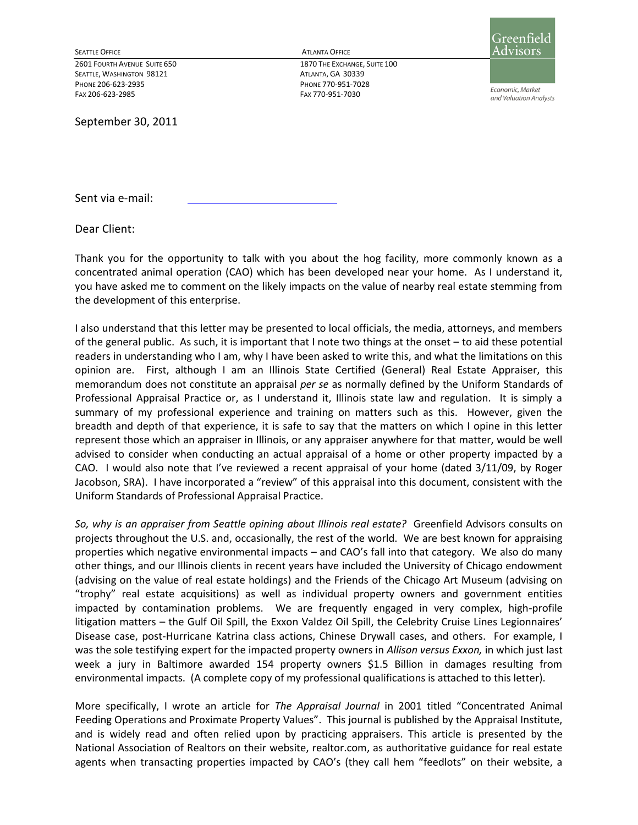SEATTLE, WASHINGTON 98121 ATLANTA, GA 30339 PHONE 206-623-2935 PHONE 770-951-7028 FAX 206-623-2985 FAX 770-951-7030

September 30, 2011

SEATTLE OFFICE ATLANTA OFFICE

2601 FOURTH AVENUE SUITE 650 1870 THE EXCHANGE, SUITE 100



Economic, Market and Valuation Analysts

Sent via e-mail:

Dear Client:

Thank you for the opportunity to talk with you about the hog facility, more commonly known as a concentrated animal operation (CAO) which has been developed near your home. As I understand it, you have asked me to comment on the likely impacts on the value of nearby real estate stemming from the development of this enterprise.

I also understand that this letter may be presented to local officials, the media, attorneys, and members of the general public. As such, it is important that I note two things at the onset – to aid these potential readers in understanding who I am, why I have been asked to write this, and what the limitations on this opinion are. First, although I am an Illinois State Certified (General) Real Estate Appraiser, this memorandum does not constitute an appraisal *per se* as normally defined by the Uniform Standards of Professional Appraisal Practice or, as I understand it, Illinois state law and regulation. It is simply a summary of my professional experience and training on matters such as this. However, given the breadth and depth of that experience, it is safe to say that the matters on which I opine in this letter represent those which an appraiser in Illinois, or any appraiser anywhere for that matter, would be well advised to consider when conducting an actual appraisal of a home or other property impacted by a CAO. I would also note that I've reviewed a recent appraisal of your home (dated 3/11/09, by Roger Jacobson, SRA). I have incorporated a "review" of this appraisal into this document, consistent with the Uniform Standards of Professional Appraisal Practice.

*So, why is an appraiser from Seattle opining about Illinois real estate?* Greenfield Advisors consults on projects throughout the U.S. and, occasionally, the rest of the world. We are best known for appraising properties which negative environmental impacts – and CAO's fall into that category. We also do many other things, and our Illinois clients in recent years have included the University of Chicago endowment (advising on the value of real estate holdings) and the Friends of the Chicago Art Museum (advising on "trophy" real estate acquisitions) as well as individual property owners and government entities impacted by contamination problems. We are frequently engaged in very complex, high-profile litigation matters – the Gulf Oil Spill, the Exxon Valdez Oil Spill, the Celebrity Cruise Lines Legionnaires' Disease case, post-Hurricane Katrina class actions, Chinese Drywall cases, and others. For example, I was the sole testifying expert for the impacted property owners in *Allison versus Exxon,* in which just last week a jury in Baltimore awarded 154 property owners \$1.5 Billion in damages resulting from environmental impacts. (A complete copy of my professional qualifications is attached to this letter).

More specifically, I wrote an article for *The Appraisal Journal* in 2001 titled "Concentrated Animal Feeding Operations and Proximate Property Values". This journal is published by the Appraisal Institute, and is widely read and often relied upon by practicing appraisers. This article is presented by the National Association of Realtors on their website, realtor.com, as authoritative guidance for real estate agents when transacting properties impacted by CAO's (they call hem "feedlots" on their website, a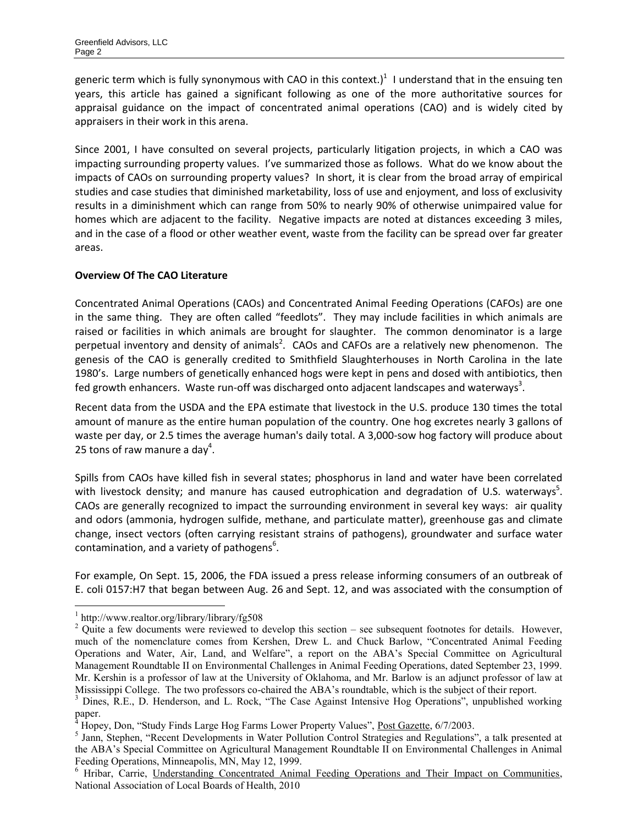generic term which is fully synonymous with CAO in this context.)<sup>1</sup> I understand that in the ensuing ten years, this article has gained a significant following as one of the more authoritative sources for appraisal guidance on the impact of concentrated animal operations (CAO) and is widely cited by appraisers in their work in this arena.

Since 2001, I have consulted on several projects, particularly litigation projects, in which a CAO was impacting surrounding property values. I've summarized those as follows. What do we know about the impacts of CAOs on surrounding property values? In short, it is clear from the broad array of empirical studies and case studies that diminished marketability, loss of use and enjoyment, and loss of exclusivity results in a diminishment which can range from 50% to nearly 90% of otherwise unimpaired value for homes which are adjacent to the facility. Negative impacts are noted at distances exceeding 3 miles, and in the case of a flood or other weather event, waste from the facility can be spread over far greater areas.

## **Overview Of The CAO Literature**

Concentrated Animal Operations (CAOs) and Concentrated Animal Feeding Operations (CAFOs) are one in the same thing. They are often called "feedlots". They may include facilities in which animals are raised or facilities in which animals are brought for slaughter. The common denominator is a large perpetual inventory and density of animals<sup>2</sup>. CAOs and CAFOs are a relatively new phenomenon. The genesis of the CAO is generally credited to Smithfield Slaughterhouses in North Carolina in the late 1980's. Large numbers of genetically enhanced hogs were kept in pens and dosed with antibiotics, then fed growth enhancers. Waste run-off was discharged onto adjacent landscapes and waterways<sup>3</sup>.

Recent data from the USDA and the EPA estimate that livestock in the U.S. produce 130 times the total amount of manure as the entire human population of the country. One hog excretes nearly 3 gallons of waste per day, or 2.5 times the average human's daily total. A 3,000-sow hog factory will produce about 25 tons of raw manure a day<sup>4</sup>.

Spills from CAOs have killed fish in several states; phosphorus in land and water have been correlated with livestock density; and manure has caused eutrophication and degradation of U.S. waterways<sup>5</sup>. CAOs are generally recognized to impact the surrounding environment in several key ways: air quality and odors (ammonia, hydrogen sulfide, methane, and particulate matter), greenhouse gas and climate change, insect vectors (often carrying resistant strains of pathogens), groundwater and surface water contamination, and a variety of pathogens<sup>6</sup>.

For example, On Sept. 15, 2006, the FDA issued a press release informing consumers of an outbreak of E. coli 0157:H7 that began between Aug. 26 and Sept. 12, and was associated with the consumption of

<sup>1</sup> http://www.realtor.org/library/library/fg508

 $2$  Quite a few documents were reviewed to develop this section – see subsequent footnotes for details. However, much of the nomenclature comes from Kershen, Drew L. and Chuck Barlow, "Concentrated Animal Feeding Operations and Water, Air, Land, and Welfare", a report on the ABA's Special Committee on Agricultural Management Roundtable II on Environmental Challenges in Animal Feeding Operations, dated September 23, 1999. Mr. Kershin is a professor of law at the University of Oklahoma, and Mr. Barlow is an adjunct professor of law at Mississippi College. The two professors co-chaired the ABA's roundtable, which is the subject of their report.

<sup>&</sup>lt;sup>3</sup> Dines, R.E., D. Henderson, and L. Rock, "The Case Against Intensive Hog Operations", unpublished working paper.<br><sup>4</sup> Hopey, Don, ''Study Finds Large Hog Farms Lower Property Values'', <u>Post Gazette</u>, 6/7/2003.

<sup>&</sup>lt;sup>5</sup> Jann, Stephen, "Recent Developments in Water Pollution Control Strategies and Regulations", a talk presented at the ABA's Special Committee on Agricultural Management Roundtable II on Environmental Challenges in Animal Feeding Operations, Minneapolis, MN, May 12, 1999.

<sup>&</sup>lt;sup>6</sup> Hribar, Carrie, Understanding Concentrated Animal Feeding Operations and Their Impact on Communities, National Association of Local Boards of Health, 2010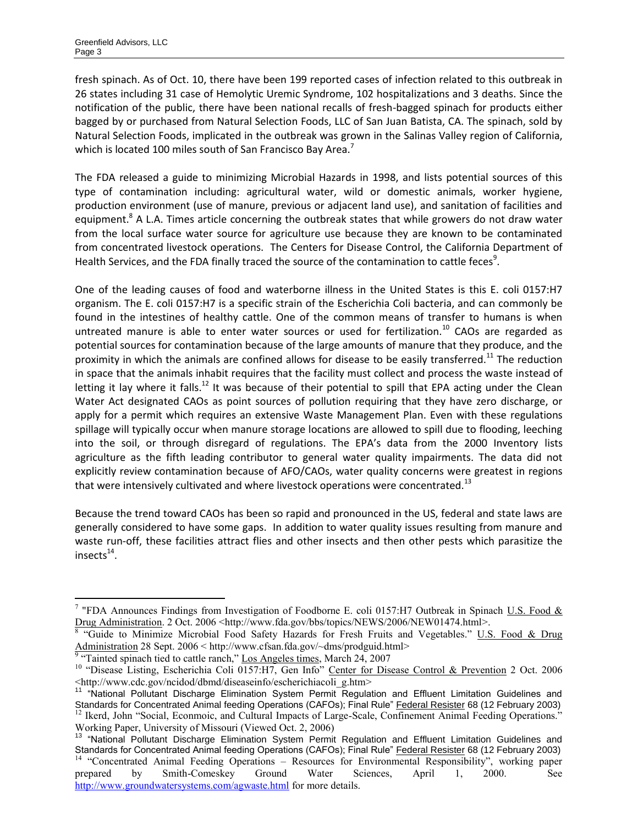$\overline{a}$ 

fresh spinach. As of Oct. 10, there have been 199 reported cases of infection related to this outbreak in 26 states including 31 case of Hemolytic Uremic Syndrome, 102 hospitalizations and 3 deaths. Since the notification of the public, there have been national recalls of fresh-bagged spinach for products either bagged by or purchased from Natural Selection Foods, LLC of San Juan Batista, CA. The spinach, sold by Natural Selection Foods, implicated in the outbreak was grown in the Salinas Valley region of California, which is located 100 miles south of San Francisco Bay Area.<sup>7</sup>

The FDA released a guide to minimizing Microbial Hazards in 1998, and lists potential sources of this type of contamination including: agricultural water, wild or domestic animals, worker hygiene, production environment (use of manure, previous or adjacent land use), and sanitation of facilities and equipment.<sup>8</sup> A L.A. Times article concerning the outbreak states that while growers do not draw water from the local surface water source for agriculture use because they are known to be contaminated from concentrated livestock operations. The Centers for Disease Control, the California Department of Health Services, and the FDA finally traced the source of the contamination to cattle feces<sup>9</sup>.

One of the leading causes of food and waterborne illness in the United States is this E. coli 0157:H7 organism. The E. coli 0157:H7 is a specific strain of the Escherichia Coli bacteria, and can commonly be found in the intestines of healthy cattle. One of the common means of transfer to humans is when untreated manure is able to enter water sources or used for fertilization.<sup>10</sup> CAOs are regarded as potential sources for contamination because of the large amounts of manure that they produce, and the proximity in which the animals are confined allows for disease to be easily transferred.<sup>11</sup> The reduction in space that the animals inhabit requires that the facility must collect and process the waste instead of letting it lay where it falls.<sup>12</sup> It was because of their potential to spill that EPA acting under the Clean Water Act designated CAOs as point sources of pollution requiring that they have zero discharge, or apply for a permit which requires an extensive Waste Management Plan. Even with these regulations spillage will typically occur when manure storage locations are allowed to spill due to flooding, leeching into the soil, or through disregard of regulations. The EPA's data from the 2000 Inventory lists agriculture as the fifth leading contributor to general water quality impairments. The data did not explicitly review contamination because of AFO/CAOs, water quality concerns were greatest in regions that were intensively cultivated and where livestock operations were concentrated.<sup>13</sup>

Because the trend toward CAOs has been so rapid and pronounced in the US, federal and state laws are generally considered to have some gaps. In addition to water quality issues resulting from manure and waste run-off, these facilities attract flies and other insects and then other pests which parasitize the insects $^{14}$ .

<sup>&</sup>lt;sup>7</sup> "FDA Announces Findings from Investigation of Foodborne E. coli 0157:H7 Outbreak in Spinach U.S. Food  $&$ Drug Administration. 2 Oct. 2006 <http://www.fda.gov/bbs/topics/NEWS/2006/NEW01474.html>.<br><sup>8</sup> "Guide to Minimize Microbial Food Safety Hazards for Fresh Fruits and Vegetables." <u>U.S. Food & Drug</u>

Administration 28 Sept. 2006 < http://www.cfsan.fda.gov/~dms/prodguid.html><sup>9</sup> "Tainted spinach tied to cattle ranch," <u>Los Angeles times</u>, March 24, 2007

<sup>&</sup>lt;sup>10</sup> "Disease Listing, Escherichia Coli 0157:H7, Gen Info" Center for Disease Control & Prevention 2 Oct. 2006 <http://www.cdc.gov/ncidod/dbmd/diseaseinfo/escherichiacoli\_g.htm>

<sup>11</sup> "National Pollutant Discharge Elimination System Permit Regulation and Effluent Limitation Guidelines and Standards for Concentrated Animal feeding Operations (CAFOs); Final Rule" Federal Resister 68 (12 February 2003) <sup>12</sup> Ikerd, John "Social, Econmoic, and Cultural Impacts of Large-Scale, Confinement Animal Feeding Operations." Working Paper, University of Missouri (Viewed Oct. 2, 2006)

<sup>&</sup>lt;sup>13</sup> "National Pollutant Discharge Elimination System Permit Regulation and Effluent Limitation Guidelines and Standards for Concentrated Animal feeding Operations (CAFOs); Final Rule" Federal Resister 68 (12 February 2003) <sup>14</sup> "Concentrated Animal Feeding Operations – Resources for Environmental Responsibility", working paper prepared by Smith-Comeskey Ground Water Sciences, April 1, 2000. See <http://www.groundwatersystems.com/agwaste.html>for more details.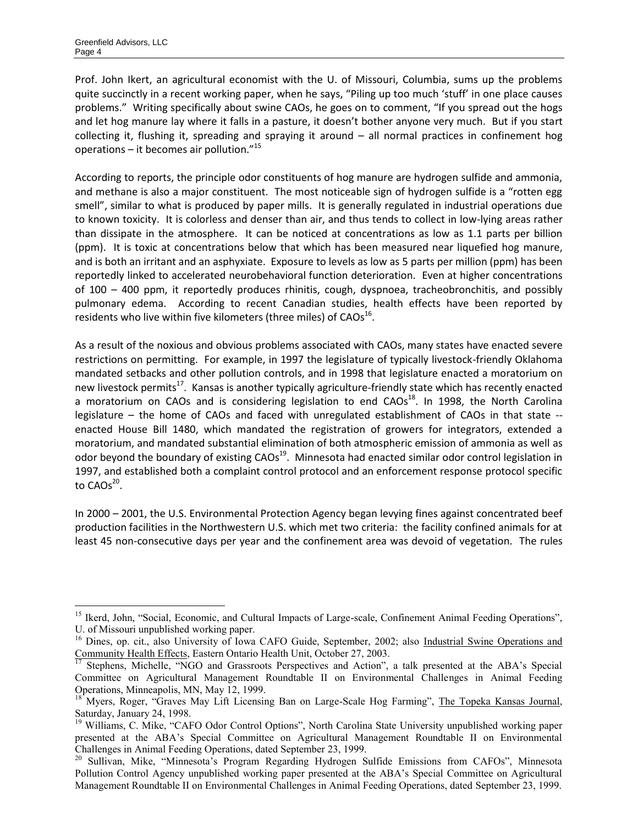$\overline{a}$ 

Prof. John Ikert, an agricultural economist with the U. of Missouri, Columbia, sums up the problems quite succinctly in a recent working paper, when he says, "Piling up too much 'stuff' in one place causes problems." Writing specifically about swine CAOs, he goes on to comment, "If you spread out the hogs and let hog manure lay where it falls in a pasture, it doesn't bother anyone very much. But if you start collecting it, flushing it, spreading and spraying it around – all normal practices in confinement hog operations – it becomes air pollution."<sup>15</sup>

According to reports, the principle odor constituents of hog manure are hydrogen sulfide and ammonia, and methane is also a major constituent. The most noticeable sign of hydrogen sulfide is a "rotten egg smell", similar to what is produced by paper mills. It is generally regulated in industrial operations due to known toxicity. It is colorless and denser than air, and thus tends to collect in low-lying areas rather than dissipate in the atmosphere. It can be noticed at concentrations as low as 1.1 parts per billion (ppm). It is toxic at concentrations below that which has been measured near liquefied hog manure, and is both an irritant and an asphyxiate. Exposure to levels as low as 5 parts per million (ppm) has been reportedly linked to accelerated neurobehavioral function deterioration. Even at higher concentrations of 100 – 400 ppm, it reportedly produces rhinitis, cough, dyspnoea, tracheobronchitis, and possibly pulmonary edema. According to recent Canadian studies, health effects have been reported by residents who live within five kilometers (three miles) of  $CAOs^{16}$ .

As a result of the noxious and obvious problems associated with CAOs, many states have enacted severe restrictions on permitting. For example, in 1997 the legislature of typically livestock-friendly Oklahoma mandated setbacks and other pollution controls, and in 1998 that legislature enacted a moratorium on new livestock permits<sup>17</sup>. Kansas is another typically agriculture-friendly state which has recently enacted a moratorium on CAOs and is considering legislation to end  $CAOs<sup>18</sup>$ . In 1998, the North Carolina legislature – the home of CAOs and faced with unregulated establishment of CAOs in that state - enacted House Bill 1480, which mandated the registration of growers for integrators, extended a moratorium, and mandated substantial elimination of both atmospheric emission of ammonia as well as odor beyond the boundary of existing CAOs<sup>19</sup>. Minnesota had enacted similar odor control legislation in 1997, and established both a complaint control protocol and an enforcement response protocol specific to  $CAOs^{20}$ .

In 2000 – 2001, the U.S. Environmental Protection Agency began levying fines against concentrated beef production facilities in the Northwestern U.S. which met two criteria: the facility confined animals for at least 45 non-consecutive days per year and the confinement area was devoid of vegetation. The rules

<sup>&</sup>lt;sup>15</sup> Ikerd, John, "Social, Economic, and Cultural Impacts of Large-scale, Confinement Animal Feeding Operations", U. of Missouri unpublished working paper.

<sup>&</sup>lt;sup>16</sup> Dines, op. cit., also University of Iowa CAFO Guide, September, 2002; also Industrial Swine Operations and Community Health Effects, Eastern Ontario Health Unit, October 27, 2003.

<sup>&</sup>lt;sup>17</sup> Stephens, Michelle, "NGO and Grassroots Perspectives and Action", a talk presented at the ABA's Special Committee on Agricultural Management Roundtable II on Environmental Challenges in Animal Feeding Operations, Minneapolis, MN, May 12, 1999.

<sup>&</sup>lt;sup>18</sup> Myers, Roger, "Graves May Lift Licensing Ban on Large-Scale Hog Farming", The Topeka Kansas Journal, Saturday, January 24, 1998.

<sup>&</sup>lt;sup>19</sup> Williams, C. Mike, "CAFO Odor Control Options", North Carolina State University unpublished working paper presented at the ABA's Special Committee on Agricultural Management Roundtable II on Environmental Challenges in Animal Feeding Operations, dated September 23, 1999.

<sup>&</sup>lt;sup>20</sup> Sullivan, Mike, "Minnesota's Program Regarding Hydrogen Sulfide Emissions from CAFOs", Minnesota Pollution Control Agency unpublished working paper presented at the ABA's Special Committee on Agricultural Management Roundtable II on Environmental Challenges in Animal Feeding Operations, dated September 23, 1999.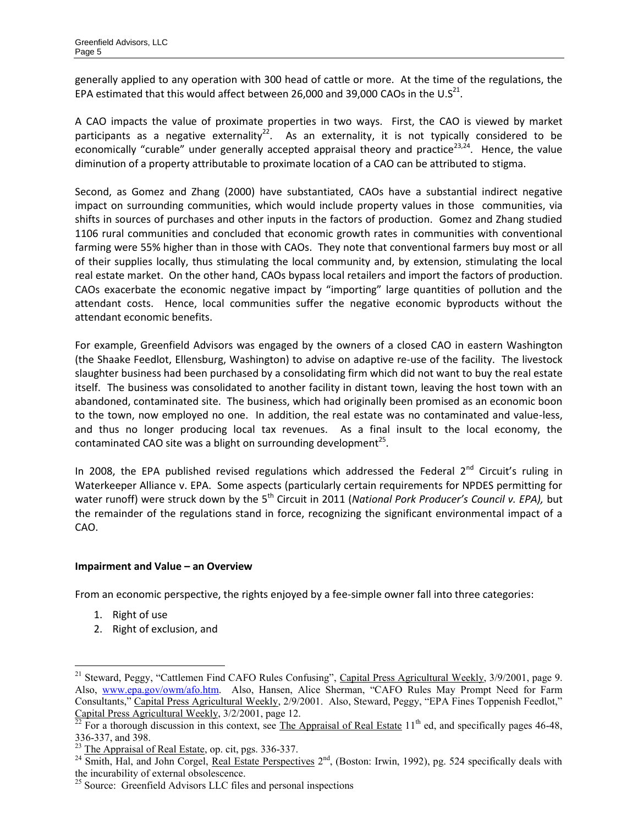generally applied to any operation with 300 head of cattle or more. At the time of the regulations, the EPA estimated that this would affect between 26,000 and 39,000 CAOs in the U.S<sup>21</sup>.

A CAO impacts the value of proximate properties in two ways. First, the CAO is viewed by market participants as a negative externality<sup>22</sup>. As an externality, it is not typically considered to be economically "curable" under generally accepted appraisal theory and practice<sup>23,24</sup>. Hence, the value diminution of a property attributable to proximate location of a CAO can be attributed to stigma.

Second, as Gomez and Zhang (2000) have substantiated, CAOs have a substantial indirect negative impact on surrounding communities, which would include property values in those communities, via shifts in sources of purchases and other inputs in the factors of production. Gomez and Zhang studied 1106 rural communities and concluded that economic growth rates in communities with conventional farming were 55% higher than in those with CAOs. They note that conventional farmers buy most or all of their supplies locally, thus stimulating the local community and, by extension, stimulating the local real estate market. On the other hand, CAOs bypass local retailers and import the factors of production. CAOs exacerbate the economic negative impact by "importing" large quantities of pollution and the attendant costs. Hence, local communities suffer the negative economic byproducts without the attendant economic benefits.

For example, Greenfield Advisors was engaged by the owners of a closed CAO in eastern Washington (the Shaake Feedlot, Ellensburg, Washington) to advise on adaptive re-use of the facility. The livestock slaughter business had been purchased by a consolidating firm which did not want to buy the real estate itself. The business was consolidated to another facility in distant town, leaving the host town with an abandoned, contaminated site. The business, which had originally been promised as an economic boon to the town, now employed no one. In addition, the real estate was no contaminated and value-less, and thus no longer producing local tax revenues. As a final insult to the local economy, the contaminated CAO site was a blight on surrounding development<sup>25</sup>.

In 2008, the EPA published revised regulations which addressed the Federal  $2^{nd}$  Circuit's ruling in Waterkeeper Alliance v. EPA. Some aspects (particularly certain requirements for NPDES permitting for water runoff) were struck down by the 5<sup>th</sup> Circuit in 2011 (*National Pork Producer's Council v. EPA*), but the remainder of the regulations stand in force, recognizing the significant environmental impact of a CAO.

## **Impairment and Value – an Overview**

From an economic perspective, the rights enjoyed by a fee-simple owner fall into three categories:

1. Right of use

 $\overline{a}$ 

2. Right of exclusion, and

<sup>&</sup>lt;sup>21</sup> Steward, Peggy, "Cattlemen Find CAFO Rules Confusing", Capital Press Agricultural Weekly, 3/9/2001, page 9. Also, [www.epa.gov/owm/afo.htm](http://www.epa.gov/owm/afo.htm). Also, Hansen, Alice Sherman, "CAFO Rules May Prompt Need for Farm Consultants," Capital Press Agricultural Weekly, 2/9/2001. Also, Steward, Peggy, "EPA Fines Toppenish Feedlot," Capital Press Agricultural Weekly, 3/2/2001, page 12.

 $^{22}$  For a thorough discussion in this context, see The Appraisal of Real Estate 11<sup>th</sup> ed, and specifically pages 46-48, 336-337, and 398.

<sup>&</sup>lt;sup>23</sup> The Appraisal of Real Estate, op. cit, pgs. 336-337.

 $^{24}$  Smith, Hal, and John Corgel, Real Estate Perspectives  $2^{nd}$ , (Boston: Irwin, 1992), pg. 524 specifically deals with the incurability of external obsolescence.

<sup>&</sup>lt;sup>25</sup> Source: Greenfield Advisors LLC files and personal inspections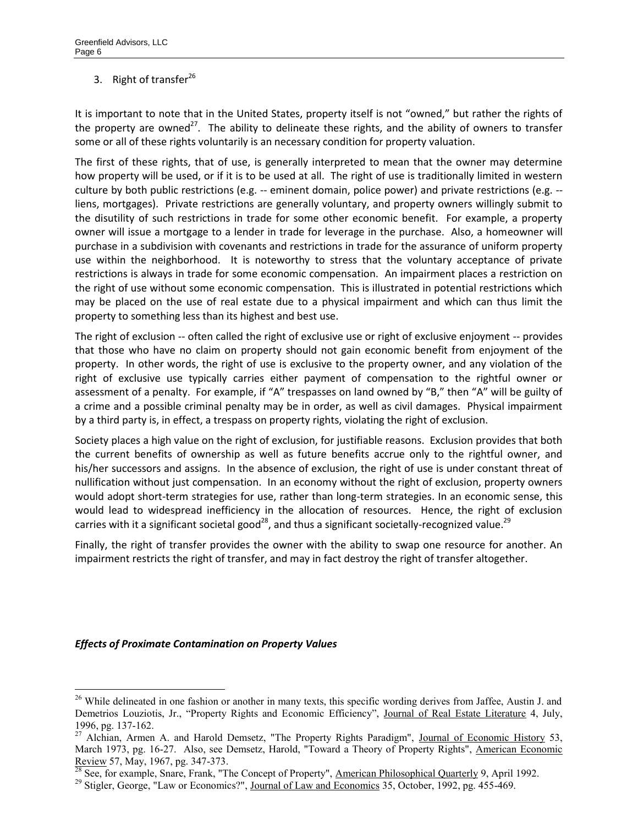# 3. Right of transfer<sup>26</sup>

It is important to note that in the United States, property itself is not "owned," but rather the rights of the property are owned<sup>27</sup>. The ability to delineate these rights, and the ability of owners to transfer some or all of these rights voluntarily is an necessary condition for property valuation.

The first of these rights, that of use, is generally interpreted to mean that the owner may determine how property will be used, or if it is to be used at all. The right of use is traditionally limited in western culture by both public restrictions (e.g. -- eminent domain, police power) and private restrictions (e.g. - liens, mortgages). Private restrictions are generally voluntary, and property owners willingly submit to the disutility of such restrictions in trade for some other economic benefit. For example, a property owner will issue a mortgage to a lender in trade for leverage in the purchase. Also, a homeowner will purchase in a subdivision with covenants and restrictions in trade for the assurance of uniform property use within the neighborhood. It is noteworthy to stress that the voluntary acceptance of private restrictions is always in trade for some economic compensation. An impairment places a restriction on the right of use without some economic compensation. This is illustrated in potential restrictions which may be placed on the use of real estate due to a physical impairment and which can thus limit the property to something less than its highest and best use.

The right of exclusion -- often called the right of exclusive use or right of exclusive enjoyment -- provides that those who have no claim on property should not gain economic benefit from enjoyment of the property. In other words, the right of use is exclusive to the property owner, and any violation of the right of exclusive use typically carries either payment of compensation to the rightful owner or assessment of a penalty. For example, if "A" trespasses on land owned by "B," then "A" will be guilty of a crime and a possible criminal penalty may be in order, as well as civil damages. Physical impairment by a third party is, in effect, a trespass on property rights, violating the right of exclusion.

Society places a high value on the right of exclusion, for justifiable reasons. Exclusion provides that both the current benefits of ownership as well as future benefits accrue only to the rightful owner, and his/her successors and assigns. In the absence of exclusion, the right of use is under constant threat of nullification without just compensation. In an economy without the right of exclusion, property owners would adopt short-term strategies for use, rather than long-term strategies. In an economic sense, this would lead to widespread inefficiency in the allocation of resources. Hence, the right of exclusion carries with it a significant societal good<sup>28</sup>, and thus a significant societally-recognized value.<sup>29</sup>

Finally, the right of transfer provides the owner with the ability to swap one resource for another. An impairment restricts the right of transfer, and may in fact destroy the right of transfer altogether.

#### *Effects of Proximate Contamination on Property Values*

<sup>&</sup>lt;sup>26</sup> While delineated in one fashion or another in many texts, this specific wording derives from Jaffee, Austin J. and Demetrios Louziotis, Jr., "Property Rights and Economic Efficiency", Journal of Real Estate Literature 4, July, 1996, pg. 137-162.

<sup>&</sup>lt;sup>27</sup> Alchian, Armen A. and Harold Demsetz, "The Property Rights Paradigm", Journal of Economic History 53, March 1973, pg. 16-27. Also, see Demsetz, Harold, "Toward a Theory of Property Rights", American Economic Review 57, May, 1967, pg. 347-373.

 $\frac{28}{28}$  See, for example, Snare, Frank, "The Concept of Property", American Philosophical Quarterly 9, April 1992.

<sup>&</sup>lt;sup>29</sup> Stigler, George, "Law or Economics?", Journal of Law and Economics 35, October, 1992, pg. 455-469.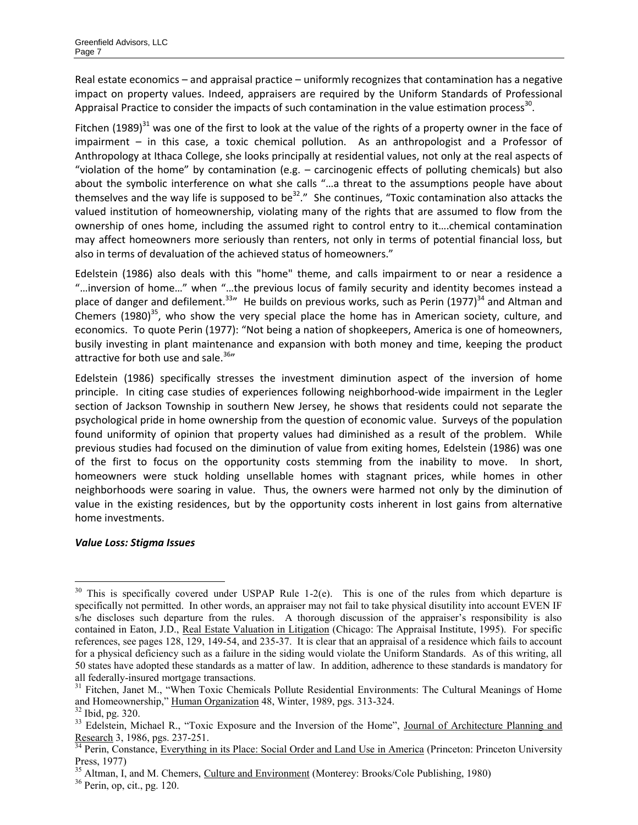Real estate economics – and appraisal practice – uniformly recognizes that contamination has a negative impact on property values. Indeed, appraisers are required by the Uniform Standards of Professional Appraisal Practice to consider the impacts of such contamination in the value estimation process<sup>30</sup>.

Fitchen (1989)<sup>31</sup> was one of the first to look at the value of the rights of a property owner in the face of impairment – in this case, a toxic chemical pollution. As an anthropologist and a Professor of Anthropology at Ithaca College, she looks principally at residential values, not only at the real aspects of "violation of the home" by contamination (e.g. – carcinogenic effects of polluting chemicals) but also about the symbolic interference on what she calls "…a threat to the assumptions people have about themselves and the way life is supposed to be<sup>32</sup>." She continues, "Toxic contamination also attacks the valued institution of homeownership, violating many of the rights that are assumed to flow from the ownership of ones home, including the assumed right to control entry to it….chemical contamination may affect homeowners more seriously than renters, not only in terms of potential financial loss, but also in terms of devaluation of the achieved status of homeowners."

Edelstein (1986) also deals with this "home" theme, and calls impairment to or near a residence a "…inversion of home…" when "…the previous locus of family security and identity becomes instead a place of danger and defilement.<sup>33</sup> He builds on previous works, such as Perin (1977)<sup>34</sup> and Altman and Chemers (1980)<sup>35</sup>, who show the very special place the home has in American society, culture, and economics. To quote Perin (1977): "Not being a nation of shopkeepers, America is one of homeowners, busily investing in plant maintenance and expansion with both money and time, keeping the product attractive for both use and sale.<sup>36</sup>

Edelstein (1986) specifically stresses the investment diminution aspect of the inversion of home principle. In citing case studies of experiences following neighborhood-wide impairment in the Legler section of Jackson Township in southern New Jersey, he shows that residents could not separate the psychological pride in home ownership from the question of economic value. Surveys of the population found uniformity of opinion that property values had diminished as a result of the problem. While previous studies had focused on the diminution of value from exiting homes, Edelstein (1986) was one of the first to focus on the opportunity costs stemming from the inability to move. In short, homeowners were stuck holding unsellable homes with stagnant prices, while homes in other neighborhoods were soaring in value. Thus, the owners were harmed not only by the diminution of value in the existing residences, but by the opportunity costs inherent in lost gains from alternative home investments.

## *Value Loss: Stigma Issues*

 $30$  This is specifically covered under USPAP Rule 1-2(e). This is one of the rules from which departure is specifically not permitted. In other words, an appraiser may not fail to take physical disutility into account EVEN IF s/he discloses such departure from the rules. A thorough discussion of the appraiser's responsibility is also contained in Eaton, J.D., Real Estate Valuation in Litigation (Chicago: The Appraisal Institute, 1995). For specific references, see pages 128, 129, 149-54, and 235-37. It is clear that an appraisal of a residence which fails to account for a physical deficiency such as a failure in the siding would violate the Uniform Standards. As of this writing, all 50 states have adopted these standards as a matter of law. In addition, adherence to these standards is mandatory for all federally-insured mortgage transactions.

<sup>&</sup>lt;sup>31</sup> Fitchen, Janet M., "When Toxic Chemicals Pollute Residential Environments: The Cultural Meanings of Home and Homeownership," Human Organization 48, Winter, 1989, pgs. 313-324.

<sup>32</sup> Ibid, pg. 320.

<sup>&</sup>lt;sup>33</sup> Edelstein, Michael R., "Toxic Exposure and the Inversion of the Home", Journal of Architecture Planning and Research 3, 1986, pgs. 237-251.

<sup>&</sup>lt;sup>34</sup> Perin, Constance, Everything in its Place: Social Order and Land Use in America (Princeton: Princeton University Press, 1977)

<sup>&</sup>lt;sup>35</sup> Altman, I, and M. Chemers, Culture and Environment (Monterey: Brooks/Cole Publishing, 1980)

<sup>36</sup> Perin, op, cit., pg. 120.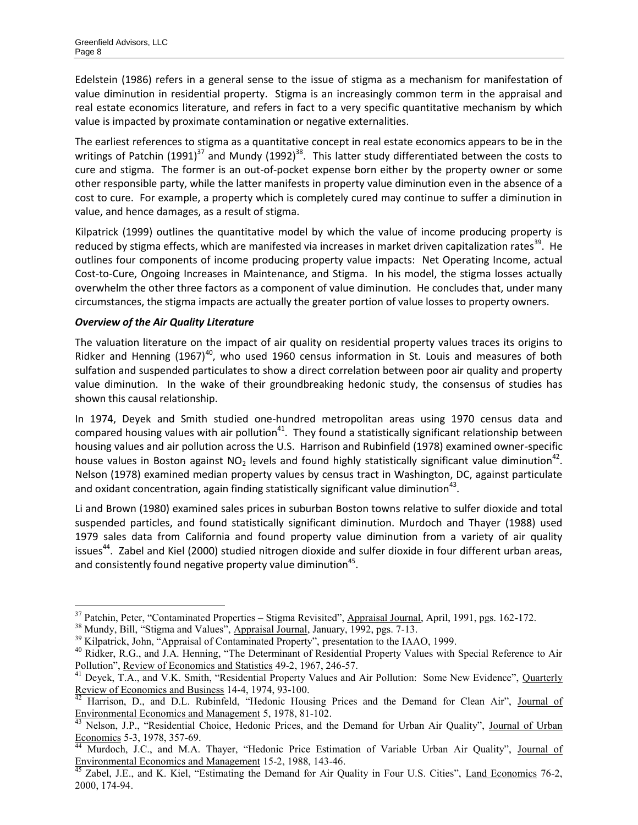Edelstein (1986) refers in a general sense to the issue of stigma as a mechanism for manifestation of value diminution in residential property. Stigma is an increasingly common term in the appraisal and real estate economics literature, and refers in fact to a very specific quantitative mechanism by which value is impacted by proximate contamination or negative externalities.

The earliest references to stigma as a quantitative concept in real estate economics appears to be in the writings of Patchin (1991)<sup>37</sup> and Mundy (1992)<sup>38</sup>. This latter study differentiated between the costs to cure and stigma. The former is an out-of-pocket expense born either by the property owner or some other responsible party, while the latter manifests in property value diminution even in the absence of a cost to cure. For example, a property which is completely cured may continue to suffer a diminution in value, and hence damages, as a result of stigma.

Kilpatrick (1999) outlines the quantitative model by which the value of income producing property is reduced by stigma effects, which are manifested via increases in market driven capitalization rates<sup>39</sup>. He outlines four components of income producing property value impacts: Net Operating Income, actual Cost-to-Cure, Ongoing Increases in Maintenance, and Stigma. In his model, the stigma losses actually overwhelm the other three factors as a component of value diminution. He concludes that, under many circumstances, the stigma impacts are actually the greater portion of value losses to property owners.

#### *Overview of the Air Quality Literature*

 $\overline{a}$ 

The valuation literature on the impact of air quality on residential property values traces its origins to Ridker and Henning  $(1967)^{40}$ , who used 1960 census information in St. Louis and measures of both sulfation and suspended particulates to show a direct correlation between poor air quality and property value diminution. In the wake of their groundbreaking hedonic study, the consensus of studies has shown this causal relationship.

In 1974, Deyek and Smith studied one-hundred metropolitan areas using 1970 census data and compared housing values with air pollution<sup>41</sup>. They found a statistically significant relationship between housing values and air pollution across the U.S. Harrison and Rubinfield (1978) examined owner-specific house values in Boston against NO<sub>2</sub> levels and found highly statistically significant value diminution<sup>42</sup>. Nelson (1978) examined median property values by census tract in Washington, DC, against particulate and oxidant concentration, again finding statistically significant value diminution $^{43}$ .

Li and Brown (1980) examined sales prices in suburban Boston towns relative to sulfer dioxide and total suspended particles, and found statistically significant diminution. Murdoch and Thayer (1988) used 1979 sales data from California and found property value diminution from a variety of air quality issues<sup>44</sup>. Zabel and Kiel (2000) studied nitrogen dioxide and sulfer dioxide in four different urban areas, and consistently found negative property value diminution $45$ .

<sup>&</sup>lt;sup>37</sup> Patchin, Peter, "Contaminated Properties – Stigma Revisited", Appraisal Journal, April, 1991, pgs. 162-172.

<sup>&</sup>lt;sup>38</sup> Mundy, Bill, "Stigma and Values", Appraisal Journal, January, 1992, pgs. 7-13.

<sup>&</sup>lt;sup>39</sup> Kilpatrick, John, "Appraisal of Contaminated Property", presentation to the IAAO, 1999.

<sup>&</sup>lt;sup>40</sup> Ridker, R.G., and J.A. Henning, "The Determinant of Residential Property Values with Special Reference to Air Pollution", Review of Economics and Statistics 49-2, 1967, 246-57.

<sup>&</sup>lt;sup>41</sup> Deyek, T.A., and V.K. Smith, "Residential Property Values and Air Pollution: Some New Evidence", Quarterly Review of Economics and Business 14-4, 1974, 93-100.

Harrison, D., and D.L. Rubinfeld, "Hedonic Housing Prices and the Demand for Clean Air", Journal of Environmental Economics and Management 5, 1978, 81-102.

Nelson, J.P., "Residential Choice, Hedonic Prices, and the Demand for Urban Air Quality", Journal of Urban Economics 5-3, 1978, 357-69.

Murdoch, J.C., and M.A. Thayer, "Hedonic Price Estimation of Variable Urban Air Quality", Journal of Environmental Economics and Management 15-2, 1988, 143-46.

<sup>&</sup>lt;sup>45</sup> Zabel, J.E., and K. Kiel, "Estimating the Demand for Air Quality in Four U.S. Cities", Land Economics 76-2, 2000, 174-94.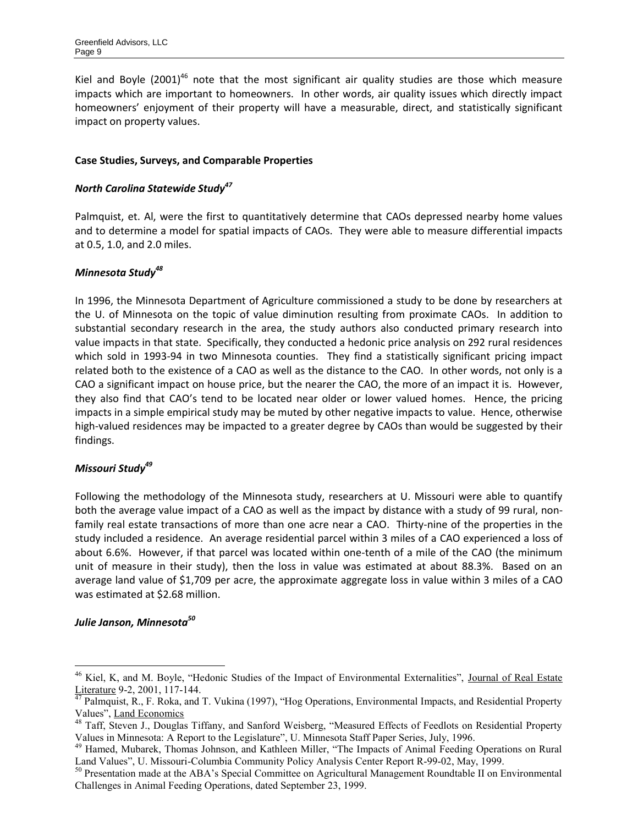Kiel and Boyle (2001)<sup>46</sup> note that the most significant air quality studies are those which measure impacts which are important to homeowners. In other words, air quality issues which directly impact homeowners' enjoyment of their property will have a measurable, direct, and statistically significant impact on property values.

#### **Case Studies, Surveys, and Comparable Properties**

#### *North Carolina Statewide Study<sup>47</sup>*

Palmquist, et. Al, were the first to quantitatively determine that CAOs depressed nearby home values and to determine a model for spatial impacts of CAOs. They were able to measure differential impacts at 0.5, 1.0, and 2.0 miles.

## *Minnesota Study<sup>48</sup>*

In 1996, the Minnesota Department of Agriculture commissioned a study to be done by researchers at the U. of Minnesota on the topic of value diminution resulting from proximate CAOs. In addition to substantial secondary research in the area, the study authors also conducted primary research into value impacts in that state. Specifically, they conducted a hedonic price analysis on 292 rural residences which sold in 1993-94 in two Minnesota counties. They find a statistically significant pricing impact related both to the existence of a CAO as well as the distance to the CAO. In other words, not only is a CAO a significant impact on house price, but the nearer the CAO, the more of an impact it is. However, they also find that CAO's tend to be located near older or lower valued homes. Hence, the pricing impacts in a simple empirical study may be muted by other negative impacts to value. Hence, otherwise high-valued residences may be impacted to a greater degree by CAOs than would be suggested by their findings.

#### *Missouri Study<sup>49</sup>*

Following the methodology of the Minnesota study, researchers at U. Missouri were able to quantify both the average value impact of a CAO as well as the impact by distance with a study of 99 rural, nonfamily real estate transactions of more than one acre near a CAO. Thirty-nine of the properties in the study included a residence. An average residential parcel within 3 miles of a CAO experienced a loss of about 6.6%. However, if that parcel was located within one-tenth of a mile of the CAO (the minimum unit of measure in their study), then the loss in value was estimated at about 88.3%. Based on an average land value of \$1,709 per acre, the approximate aggregate loss in value within 3 miles of a CAO was estimated at \$2.68 million.

#### *Julie Janson, Minnesota<sup>50</sup>*

<sup>&</sup>lt;sup>46</sup> Kiel, K, and M. Boyle, "Hedonic Studies of the Impact of Environmental Externalities", Journal of Real Estate Literature 9-2, 2001, 117-144.

 $^{47}$  Palmquist, R., F. Roka, and T. Vukina (1997), "Hog Operations, Environmental Impacts, and Residential Property Values", Land Economics

<sup>&</sup>lt;sup>48</sup> Taff, Steven J., Douglas Tiffany, and Sanford Weisberg, "Measured Effects of Feedlots on Residential Property Values in Minnesota: A Report to the Legislature", U. Minnesota Staff Paper Series, July, 1996.

<sup>&</sup>lt;sup>49</sup> Hamed, Mubarek, Thomas Johnson, and Kathleen Miller, "The Impacts of Animal Feeding Operations on Rural Land Values", U. Missouri-Columbia Community Policy Analysis Center Report R-99-02, May, 1999.

<sup>50</sup> Presentation made at the ABA's Special Committee on Agricultural Management Roundtable II on Environmental Challenges in Animal Feeding Operations, dated September 23, 1999.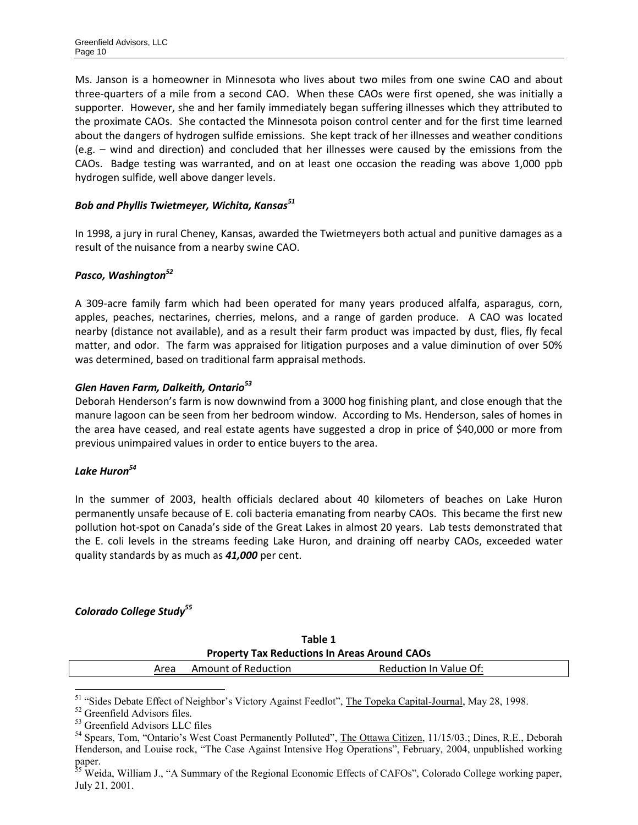Ms. Janson is a homeowner in Minnesota who lives about two miles from one swine CAO and about three-quarters of a mile from a second CAO. When these CAOs were first opened, she was initially a supporter. However, she and her family immediately began suffering illnesses which they attributed to the proximate CAOs. She contacted the Minnesota poison control center and for the first time learned about the dangers of hydrogen sulfide emissions. She kept track of her illnesses and weather conditions (e.g. – wind and direction) and concluded that her illnesses were caused by the emissions from the CAOs. Badge testing was warranted, and on at least one occasion the reading was above 1,000 ppb hydrogen sulfide, well above danger levels.

## *Bob and Phyllis Twietmeyer, Wichita, Kansas<sup>51</sup>*

In 1998, a jury in rural Cheney, Kansas, awarded the Twietmeyers both actual and punitive damages as a result of the nuisance from a nearby swine CAO.

#### *Pasco, Washington<sup>52</sup>*

A 309-acre family farm which had been operated for many years produced alfalfa, asparagus, corn, apples, peaches, nectarines, cherries, melons, and a range of garden produce. A CAO was located nearby (distance not available), and as a result their farm product was impacted by dust, flies, fly fecal matter, and odor. The farm was appraised for litigation purposes and a value diminution of over 50% was determined, based on traditional farm appraisal methods.

#### *Glen Haven Farm, Dalkeith, Ontario<sup>53</sup>*

Deborah Henderson's farm is now downwind from a 3000 hog finishing plant, and close enough that the manure lagoon can be seen from her bedroom window. According to Ms. Henderson, sales of homes in the area have ceased, and real estate agents have suggested a drop in price of \$40,000 or more from previous unimpaired values in order to entice buyers to the area.

## *Lake Huron<sup>54</sup>*

In the summer of 2003, health officials declared about 40 kilometers of beaches on Lake Huron permanently unsafe because of E. coli bacteria emanating from nearby CAOs. This became the first new pollution hot-spot on Canada's side of the Great Lakes in almost 20 years. Lab tests demonstrated that the E. coli levels in the streams feeding Lake Huron, and draining off nearby CAOs, exceeded water quality standards by as much as *41,000* per cent.

## *Colorado College Study<sup>55</sup>*

| Table 1<br><b>Property Tax Reductions In Areas Around CAOs</b> |  |  |  |  |
|----------------------------------------------------------------|--|--|--|--|
|                                                                |  |  |  |  |

<sup>&</sup>lt;sup>51</sup> "Sides Debate Effect of Neighbor's Victory Against Feedlot", The Topeka Capital-Journal, May 28, 1998.

<sup>52</sup> Greenfield Advisors files.

<sup>53</sup> Greenfield Advisors LLC files

<sup>&</sup>lt;sup>54</sup> Spears, Tom, "Ontario's West Coast Permanently Polluted", The Ottawa Citizen, 11/15/03.; Dines, R.E., Deborah Henderson, and Louise rock, "The Case Against Intensive Hog Operations", February, 2004, unpublished working paper.

<sup>&</sup>lt;sup>35</sup> Weida, William J., "A Summary of the Regional Economic Effects of CAFOs", Colorado College working paper, July 21, 2001.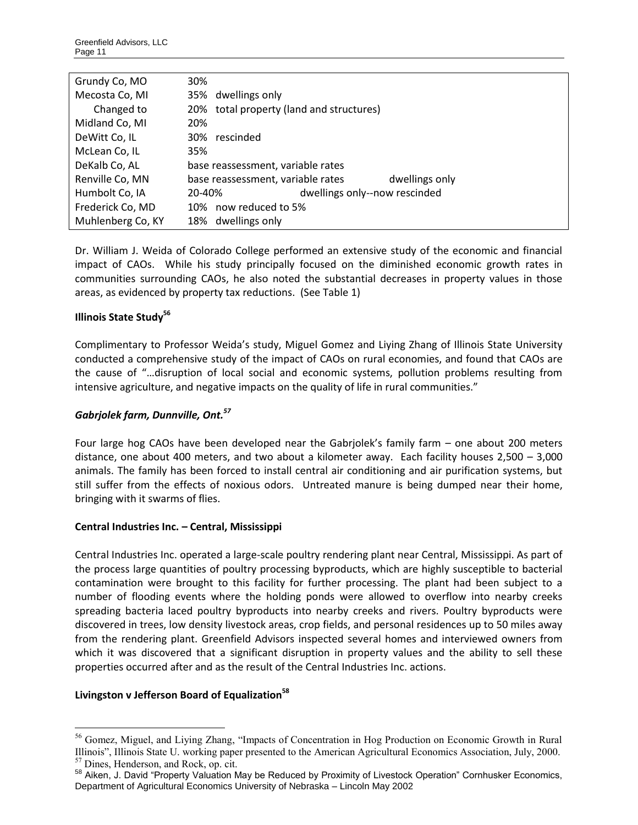| Grundy Co, MO     | 30%                                                 |  |
|-------------------|-----------------------------------------------------|--|
| Mecosta Co, MI    | 35% dwellings only                                  |  |
| Changed to        | 20% total property (land and structures)            |  |
| Midland Co, MI    | 20%                                                 |  |
| DeWitt Co, IL     | 30%<br>rescinded                                    |  |
| McLean Co, IL     | 35%                                                 |  |
| DeKalb Co, AL     | base reassessment, variable rates                   |  |
| Renville Co, MN   | base reassessment, variable rates<br>dwellings only |  |
| Humbolt Co, IA    | dwellings only--now rescinded<br>20-40%             |  |
| Frederick Co, MD  | 10% now reduced to 5%                               |  |
| Muhlenberg Co, KY | 18% dwellings only                                  |  |

Dr. William J. Weida of Colorado College performed an extensive study of the economic and financial impact of CAOs. While his study principally focused on the diminished economic growth rates in communities surrounding CAOs, he also noted the substantial decreases in property values in those areas, as evidenced by property tax reductions. (See Table 1)

## **Illinois State Study<sup>56</sup>**

Complimentary to Professor Weida's study, Miguel Gomez and Liying Zhang of Illinois State University conducted a comprehensive study of the impact of CAOs on rural economies, and found that CAOs are the cause of "…disruption of local social and economic systems, pollution problems resulting from intensive agriculture, and negative impacts on the quality of life in rural communities."

#### *Gabrjolek farm, Dunnville, Ont.<sup>57</sup>*

Four large hog CAOs have been developed near the Gabrjolek's family farm – one about 200 meters distance, one about 400 meters, and two about a kilometer away. Each facility houses 2,500 – 3,000 animals. The family has been forced to install central air conditioning and air purification systems, but still suffer from the effects of noxious odors. Untreated manure is being dumped near their home, bringing with it swarms of flies.

#### **Central Industries Inc. – Central, Mississippi**

Central Industries Inc. operated a large-scale poultry rendering plant near Central, Mississippi. As part of the process large quantities of poultry processing byproducts, which are highly susceptible to bacterial contamination were brought to this facility for further processing. The plant had been subject to a number of flooding events where the holding ponds were allowed to overflow into nearby creeks spreading bacteria laced poultry byproducts into nearby creeks and rivers. Poultry byproducts were discovered in trees, low density livestock areas, crop fields, and personal residences up to 50 miles away from the rendering plant. Greenfield Advisors inspected several homes and interviewed owners from which it was discovered that a significant disruption in property values and the ability to sell these properties occurred after and as the result of the Central Industries Inc. actions.

#### **Livingston v Jefferson Board of Equalization<sup>58</sup>**

 $\overline{a}$ <sup>56</sup> Gomez, Miguel, and Living Zhang, "Impacts of Concentration in Hog Production on Economic Growth in Rural Illinois", Illinois State U. working paper presented to the American Agricultural Economics Association, July, 2000. <sup>57</sup> Dines, Henderson, and Rock, op. cit.

<sup>58</sup> Aiken, J. David "Property Valuation May be Reduced by Proximity of Livestock Operation" Cornhusker Economics, Department of Agricultural Economics University of Nebraska – Lincoln May 2002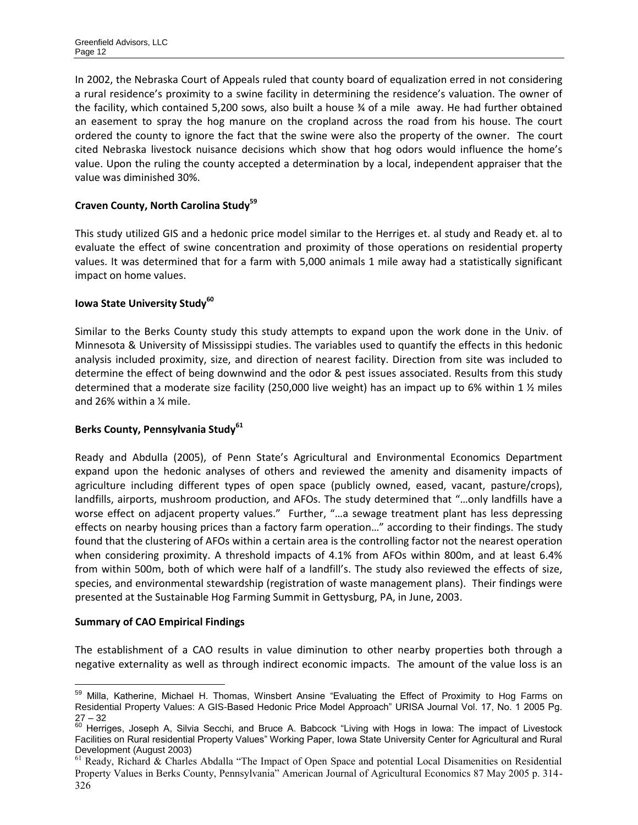In 2002, the Nebraska Court of Appeals ruled that county board of equalization erred in not considering a rural residence's proximity to a swine facility in determining the residence's valuation. The owner of the facility, which contained 5,200 sows, also built a house ¾ of a mile away. He had further obtained an easement to spray the hog manure on the cropland across the road from his house. The court ordered the county to ignore the fact that the swine were also the property of the owner. The court cited Nebraska livestock nuisance decisions which show that hog odors would influence the home's value. Upon the ruling the county accepted a determination by a local, independent appraiser that the value was diminished 30%.

## **Craven County, North Carolina Study<sup>59</sup>**

This study utilized GIS and a hedonic price model similar to the Herriges et. al study and Ready et. al to evaluate the effect of swine concentration and proximity of those operations on residential property values. It was determined that for a farm with 5,000 animals 1 mile away had a statistically significant impact on home values.

# **Iowa State University Study<sup>60</sup>**

Similar to the Berks County study this study attempts to expand upon the work done in the Univ. of Minnesota & University of Mississippi studies. The variables used to quantify the effects in this hedonic analysis included proximity, size, and direction of nearest facility. Direction from site was included to determine the effect of being downwind and the odor & pest issues associated. Results from this study determined that a moderate size facility (250,000 live weight) has an impact up to 6% within 1  $\frac{1}{2}$  miles and 26% within a ¼ mile.

## **Berks County, Pennsylvania Study<sup>61</sup>**

Ready and Abdulla (2005), of Penn State's Agricultural and Environmental Economics Department expand upon the hedonic analyses of others and reviewed the amenity and disamenity impacts of agriculture including different types of open space (publicly owned, eased, vacant, pasture/crops), landfills, airports, mushroom production, and AFOs. The study determined that "…only landfills have a worse effect on adjacent property values." Further, "…a sewage treatment plant has less depressing effects on nearby housing prices than a factory farm operation…" according to their findings. The study found that the clustering of AFOs within a certain area is the controlling factor not the nearest operation when considering proximity. A threshold impacts of 4.1% from AFOs within 800m, and at least 6.4% from within 500m, both of which were half of a landfill's. The study also reviewed the effects of size, species, and environmental stewardship (registration of waste management plans). Their findings were presented at the Sustainable Hog Farming Summit in Gettysburg, PA, in June, 2003.

#### **Summary of CAO Empirical Findings**

The establishment of a CAO results in value diminution to other nearby properties both through a negative externality as well as through indirect economic impacts. The amount of the value loss is an

 $\overline{a}$ <sup>59</sup> Milla. Katherine, Michael H. Thomas, Winsbert Ansine "Evaluating the Effect of Proximity to Hog Farms on Residential Property Values: A GIS-Based Hedonic Price Model Approach" URISA Journal Vol. 17, No. 1 2005 Pg.  $27 - 32$ 

 $60$  Herriges, Joseph A, Silvia Secchi, and Bruce A. Babcock "Living with Hogs in Iowa: The impact of Livestock Facilities on Rural residential Property Values" Working Paper, Iowa State University Center for Agricultural and Rural Development (August 2003)

<sup>&</sup>lt;sup>61</sup> Ready, Richard & Charles Abdalla "The Impact of Open Space and potential Local Disamenities on Residential Property Values in Berks County, Pennsylvania" American Journal of Agricultural Economics 87 May 2005 p. 314- 326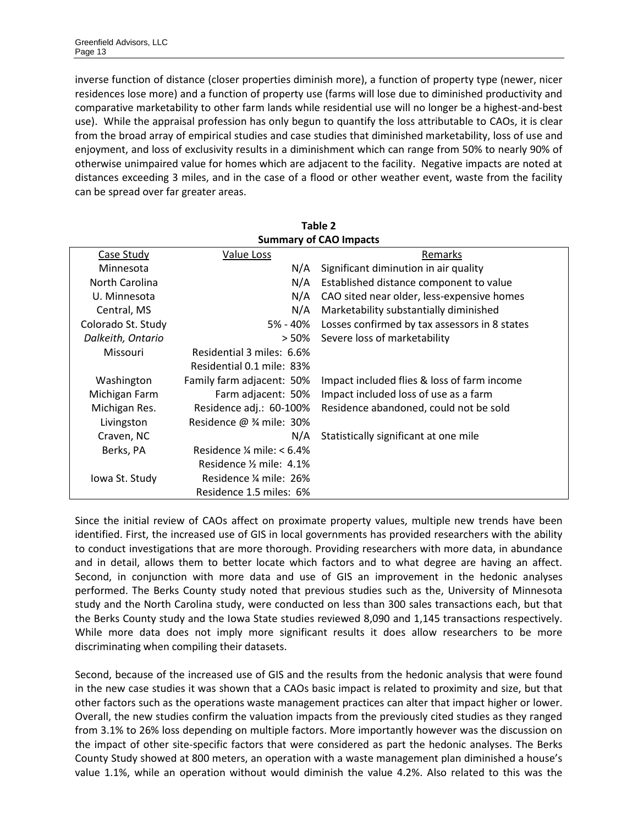inverse function of distance (closer properties diminish more), a function of property type (newer, nicer residences lose more) and a function of property use (farms will lose due to diminished productivity and comparative marketability to other farm lands while residential use will no longer be a highest-and-best use). While the appraisal profession has only begun to quantify the loss attributable to CAOs, it is clear from the broad array of empirical studies and case studies that diminished marketability, loss of use and enjoyment, and loss of exclusivity results in a diminishment which can range from 50% to nearly 90% of otherwise unimpaired value for homes which are adjacent to the facility. Negative impacts are noted at distances exceeding 3 miles, and in the case of a flood or other weather event, waste from the facility can be spread over far greater areas.

**Table 2** 

| <b>Summary of CAO Impacts</b><br>Case Study<br>Value Loss<br>Remarks<br>Significant diminution in air quality<br>Minnesota<br>N/A<br>North Carolina<br>N/A<br>Established distance component to value<br>U. Minnesota<br>N/A<br>CAO sited near older, less-expensive homes<br>N/A<br>Marketability substantially diminished<br>Central, MS<br>5% - 40% Losses confirmed by tax assessors in 8 states<br>Colorado St. Study<br>Severe loss of marketability<br>Dalkeith, Ontario<br>> 50%<br>Residential 3 miles: 6.6%<br><b>Missouri</b><br>Residential 0.1 mile: 83%<br>Family farm adjacent: 50%<br>Washington<br>Impact included flies & loss of farm income<br>Farm adjacent: 50%<br>Impact included loss of use as a farm<br>Michigan Farm<br>Michigan Res.<br>Residence adj.: 60-100%<br>Residence abandoned, could not be sold<br>Livingston<br>Residence $@$ % mile: 30%<br>Craven, NC<br>N/A<br>Statistically significant at one mile<br>Residence $\frac{1}{4}$ mile: < 6.4%<br>Berks, PA<br>Residence 1/2 mile: 4.1%<br>Residence ¼ mile: 26%<br>lowa St. Study<br>Residence 1.5 miles: 6% | Table Z |  |  |  |  |
|-------------------------------------------------------------------------------------------------------------------------------------------------------------------------------------------------------------------------------------------------------------------------------------------------------------------------------------------------------------------------------------------------------------------------------------------------------------------------------------------------------------------------------------------------------------------------------------------------------------------------------------------------------------------------------------------------------------------------------------------------------------------------------------------------------------------------------------------------------------------------------------------------------------------------------------------------------------------------------------------------------------------------------------------------------------------------------------------------------|---------|--|--|--|--|
|                                                                                                                                                                                                                                                                                                                                                                                                                                                                                                                                                                                                                                                                                                                                                                                                                                                                                                                                                                                                                                                                                                       |         |  |  |  |  |
|                                                                                                                                                                                                                                                                                                                                                                                                                                                                                                                                                                                                                                                                                                                                                                                                                                                                                                                                                                                                                                                                                                       |         |  |  |  |  |
|                                                                                                                                                                                                                                                                                                                                                                                                                                                                                                                                                                                                                                                                                                                                                                                                                                                                                                                                                                                                                                                                                                       |         |  |  |  |  |
|                                                                                                                                                                                                                                                                                                                                                                                                                                                                                                                                                                                                                                                                                                                                                                                                                                                                                                                                                                                                                                                                                                       |         |  |  |  |  |
|                                                                                                                                                                                                                                                                                                                                                                                                                                                                                                                                                                                                                                                                                                                                                                                                                                                                                                                                                                                                                                                                                                       |         |  |  |  |  |
|                                                                                                                                                                                                                                                                                                                                                                                                                                                                                                                                                                                                                                                                                                                                                                                                                                                                                                                                                                                                                                                                                                       |         |  |  |  |  |
|                                                                                                                                                                                                                                                                                                                                                                                                                                                                                                                                                                                                                                                                                                                                                                                                                                                                                                                                                                                                                                                                                                       |         |  |  |  |  |
|                                                                                                                                                                                                                                                                                                                                                                                                                                                                                                                                                                                                                                                                                                                                                                                                                                                                                                                                                                                                                                                                                                       |         |  |  |  |  |
|                                                                                                                                                                                                                                                                                                                                                                                                                                                                                                                                                                                                                                                                                                                                                                                                                                                                                                                                                                                                                                                                                                       |         |  |  |  |  |
|                                                                                                                                                                                                                                                                                                                                                                                                                                                                                                                                                                                                                                                                                                                                                                                                                                                                                                                                                                                                                                                                                                       |         |  |  |  |  |
|                                                                                                                                                                                                                                                                                                                                                                                                                                                                                                                                                                                                                                                                                                                                                                                                                                                                                                                                                                                                                                                                                                       |         |  |  |  |  |
|                                                                                                                                                                                                                                                                                                                                                                                                                                                                                                                                                                                                                                                                                                                                                                                                                                                                                                                                                                                                                                                                                                       |         |  |  |  |  |
|                                                                                                                                                                                                                                                                                                                                                                                                                                                                                                                                                                                                                                                                                                                                                                                                                                                                                                                                                                                                                                                                                                       |         |  |  |  |  |
|                                                                                                                                                                                                                                                                                                                                                                                                                                                                                                                                                                                                                                                                                                                                                                                                                                                                                                                                                                                                                                                                                                       |         |  |  |  |  |
|                                                                                                                                                                                                                                                                                                                                                                                                                                                                                                                                                                                                                                                                                                                                                                                                                                                                                                                                                                                                                                                                                                       |         |  |  |  |  |
|                                                                                                                                                                                                                                                                                                                                                                                                                                                                                                                                                                                                                                                                                                                                                                                                                                                                                                                                                                                                                                                                                                       |         |  |  |  |  |
|                                                                                                                                                                                                                                                                                                                                                                                                                                                                                                                                                                                                                                                                                                                                                                                                                                                                                                                                                                                                                                                                                                       |         |  |  |  |  |
|                                                                                                                                                                                                                                                                                                                                                                                                                                                                                                                                                                                                                                                                                                                                                                                                                                                                                                                                                                                                                                                                                                       |         |  |  |  |  |
|                                                                                                                                                                                                                                                                                                                                                                                                                                                                                                                                                                                                                                                                                                                                                                                                                                                                                                                                                                                                                                                                                                       |         |  |  |  |  |

Since the initial review of CAOs affect on proximate property values, multiple new trends have been identified. First, the increased use of GIS in local governments has provided researchers with the ability to conduct investigations that are more thorough. Providing researchers with more data, in abundance and in detail, allows them to better locate which factors and to what degree are having an affect. Second, in conjunction with more data and use of GIS an improvement in the hedonic analyses performed. The Berks County study noted that previous studies such as the, University of Minnesota study and the North Carolina study, were conducted on less than 300 sales transactions each, but that the Berks County study and the Iowa State studies reviewed 8,090 and 1,145 transactions respectively. While more data does not imply more significant results it does allow researchers to be more discriminating when compiling their datasets.

Second, because of the increased use of GIS and the results from the hedonic analysis that were found in the new case studies it was shown that a CAOs basic impact is related to proximity and size, but that other factors such as the operations waste management practices can alter that impact higher or lower. Overall, the new studies confirm the valuation impacts from the previously cited studies as they ranged from 3.1% to 26% loss depending on multiple factors. More importantly however was the discussion on the impact of other site-specific factors that were considered as part the hedonic analyses. The Berks County Study showed at 800 meters, an operation with a waste management plan diminished a house's value 1.1%, while an operation without would diminish the value 4.2%. Also related to this was the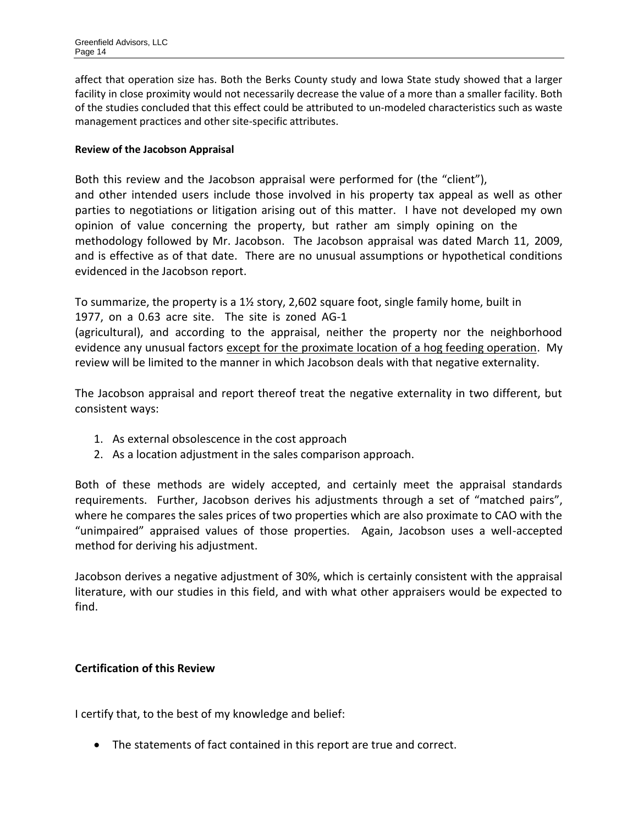affect that operation size has. Both the Berks County study and Iowa State study showed that a larger facility in close proximity would not necessarily decrease the value of a more than a smaller facility. Both of the studies concluded that this effect could be attributed to un-modeled characteristics such as waste management practices and other site-specific attributes.

# **Review of the Jacobson Appraisal**

Both this review and the Jacobson appraisal were performed for (the "client"), and other intended users include those involved in his property tax appeal as well as other parties to negotiations or litigation arising out of this matter. I have not developed my own opinion of value concerning the property, but rather am simply opining on the methodology followed by Mr. Jacobson. The Jacobson appraisal was dated March 11, 2009, and is effective as of that date. There are no unusual assumptions or hypothetical conditions evidenced in the Jacobson report.

To summarize, the property is a 1½ story, 2,602 square foot, single family home, built in 1977, on a 0.63 acre site. The site is zoned AG-1

(agricultural), and according to the appraisal, neither the property nor the neighborhood evidence any unusual factors except for the proximate location of a hog feeding operation. My review will be limited to the manner in which Jacobson deals with that negative externality.

The Jacobson appraisal and report thereof treat the negative externality in two different, but consistent ways:

- 1. As external obsolescence in the cost approach
- 2. As a location adjustment in the sales comparison approach.

Both of these methods are widely accepted, and certainly meet the appraisal standards requirements. Further, Jacobson derives his adjustments through a set of "matched pairs", where he compares the sales prices of two properties which are also proximate to CAO with the "unimpaired" appraised values of those properties. Again, Jacobson uses a well-accepted method for deriving his adjustment.

Jacobson derives a negative adjustment of 30%, which is certainly consistent with the appraisal literature, with our studies in this field, and with what other appraisers would be expected to find.

# **Certification of this Review**

I certify that, to the best of my knowledge and belief:

The statements of fact contained in this report are true and correct.